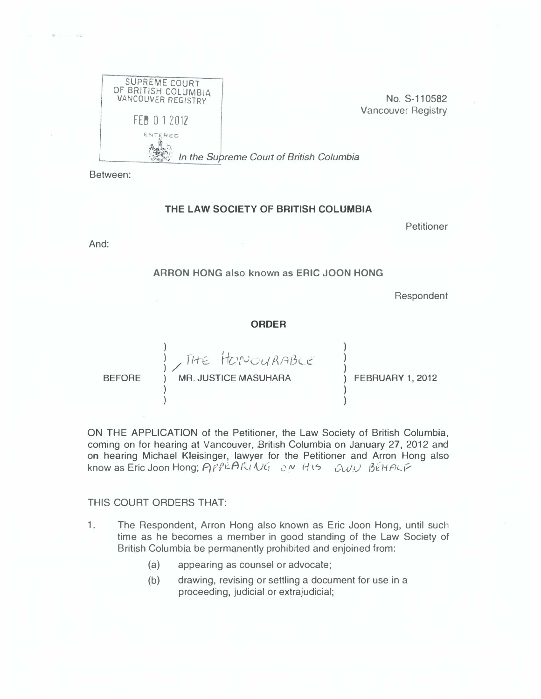

No. S-11 0582 Vancouver Registry

In the Supreme Court of British Columbia

Between:

## THE LAW SOCIETY OF BRITISH COLUMBIA

Petitioner

And:

ARRON HONG also known as ERIC JOON HONG

**Respondent** 

## ORDER

BEFORE

) The HONOURABLE ) MR. JUSTICE MASUHARA

) FEBRUARY 1, 2012

ON THE APPLICATION of the Petitioner, the Law Society of British Columbia, coming on for hearing at Vancouver, British Columbia on January 27, 2012 and on hearing Michael Kleisinger, lawyer for the Petitioner and Arron Hong also know as Eric Joon Hong;  $APPEAR(NG, SNHS QUU)$  BEHALF

## THIS COURT ORDERS THAT:

)

)

)

- 1. The Respondent, Arron Hong also known as Eric Joon Hong, until such time as he becomes a member in good standing of the Law Society of British Columbia be permanently prohibited and enjoined from:
	- (a) appearing as counsel or advocate;
	- (b) drawing, revising or settling a document for use in a proceeding, judicial or extrajudicial;